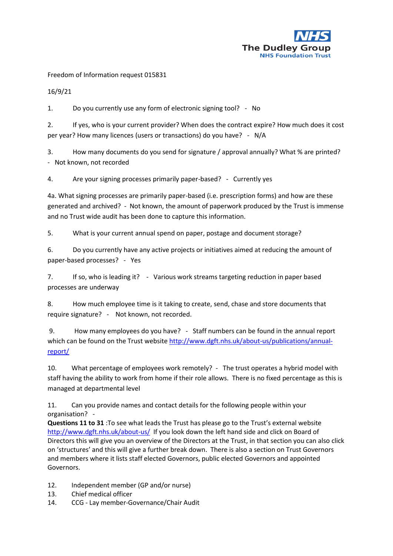

Freedom of Information request 015831

16/9/21

1. Do you currently use any form of electronic signing tool? - No

2. If yes, who is your current provider? When does the contract expire? How much does it cost per year? How many licences (users or transactions) do you have? - N/A

3. How many documents do you send for signature / approval annually? What % are printed? - Not known, not recorded

4. Are your signing processes primarily paper-based? - Currently yes

4a. What signing processes are primarily paper-based (i.e. prescription forms) and how are these generated and archived? - Not known, the amount of paperwork produced by the Trust is immense and no Trust wide audit has been done to capture this information.

5. What is your current annual spend on paper, postage and document storage?

6. Do you currently have any active projects or initiatives aimed at reducing the amount of paper-based processes? - Yes

7. If so, who is leading it? - Various work streams targeting reduction in paper based processes are underway

8. How much employee time is it taking to create, send, chase and store documents that require signature? - Not known, not recorded.

9. How many employees do you have? - Staff numbers can be found in the annual report which can be found on the Trust websit[e http://www.dgft.nhs.uk/about-us/publications/annual](http://www.dgft.nhs.uk/about-us/publications/annual-report/)[report/](http://www.dgft.nhs.uk/about-us/publications/annual-report/) 

10. What percentage of employees work remotely? - The trust operates a hybrid model with staff having the ability to work from home if their role allows. There is no fixed percentage as this is managed at departmental level

11. Can you provide names and contact details for the following people within your organisation? -

**Questions 11 to 31** :To see what leads the Trust has please go to the Trust's external website <http://www.dgft.nhs.uk/about-us/>If you look down the left hand side and click on Board of Directors this will give you an overview of the Directors at the Trust, in that section you can also click on 'structures' and this will give a further break down. There is also a section on Trust Governors and members where it lists staff elected Governors, public elected Governors and appointed Governors.

- 12. Independent member (GP and/or nurse)
- 13. Chief medical officer
- 14. CCG Lay member-Governance/Chair Audit